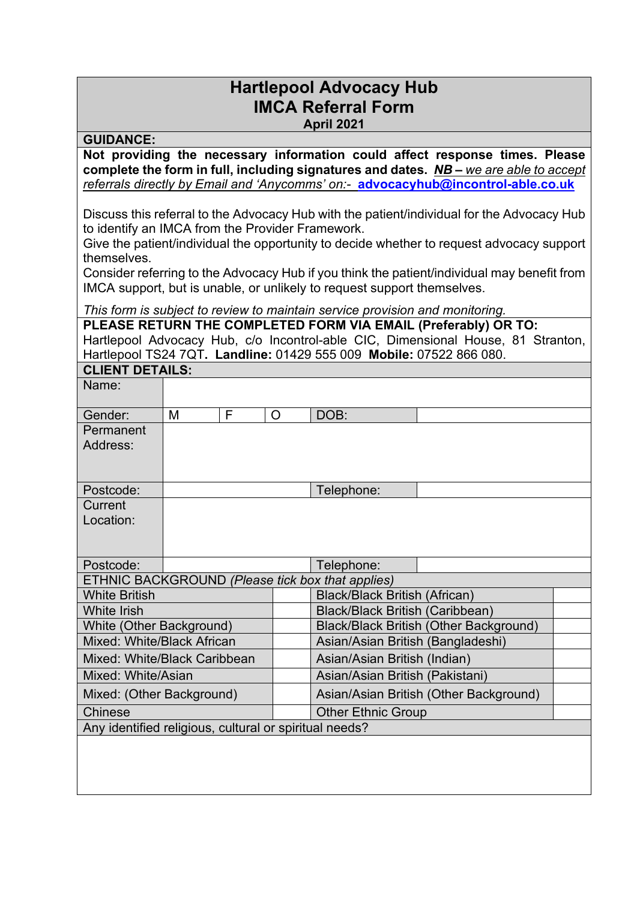## **Hartlepool Advocacy Hub IMCA Referral Form**

**April 2021**

**GUIDANCE: Not providing the necessary information could affect response times. Please complete the form in full, including signatures and dates.** *NB – we are able to accept referrals directly by Email and 'Anycomms' on:-* **[advocacyhub@incontrol-able.co.uk](mailto:advocacyhub@incontrol-able.co.uk)**

Discuss this referral to the Advocacy Hub with the patient/individual for the Advocacy Hub to identify an IMCA from the Provider Framework.

Give the patient/individual the opportunity to decide whether to request advocacy support themselves.

Consider referring to the Advocacy Hub if you think the patient/individual may benefit from IMCA support, but is unable, or unlikely to request support themselves.

*This form is subject to review to maintain service provision and monitoring.*

**PLEASE RETURN THE COMPLETED FORM VIA EMAIL (Preferably) OR TO:** Hartlepool Advocacy Hub, c/o Incontrol-able CIC, Dimensional House, 81 Stranton, Hartlepool TS24 7QT**. Landline:** 01429 555 009 **Mobile:** 07522 866 080.

| <b>CLIENT DETAILS:</b>                                 |   |   |   |                                               |  |  |  |
|--------------------------------------------------------|---|---|---|-----------------------------------------------|--|--|--|
| Name:                                                  |   |   |   |                                               |  |  |  |
| Gender:                                                | M | F | O | DOB:                                          |  |  |  |
| Permanent<br>Address:                                  |   |   |   |                                               |  |  |  |
| Postcode:                                              |   |   |   | Telephone:                                    |  |  |  |
| Current                                                |   |   |   |                                               |  |  |  |
| Location:                                              |   |   |   |                                               |  |  |  |
|                                                        |   |   |   |                                               |  |  |  |
| Postcode:                                              |   |   |   | Telephone:                                    |  |  |  |
| ETHNIC BACKGROUND (Please tick box that applies)       |   |   |   |                                               |  |  |  |
| <b>White British</b>                                   |   |   |   | <b>Black/Black British (African)</b>          |  |  |  |
| <b>White Irish</b>                                     |   |   |   | <b>Black/Black British (Caribbean)</b>        |  |  |  |
| White (Other Background)                               |   |   |   | <b>Black/Black British (Other Background)</b> |  |  |  |
| Mixed: White/Black African                             |   |   |   | Asian/Asian British (Bangladeshi)             |  |  |  |
| Mixed: White/Black Caribbean                           |   |   |   | Asian/Asian British (Indian)                  |  |  |  |
| Mixed: White/Asian                                     |   |   |   | Asian/Asian British (Pakistani)               |  |  |  |
| Mixed: (Other Background)                              |   |   |   | Asian/Asian British (Other Background)        |  |  |  |
| <b>Chinese</b>                                         |   |   |   | <b>Other Ethnic Group</b>                     |  |  |  |
| Any identified religious, cultural or spiritual needs? |   |   |   |                                               |  |  |  |
|                                                        |   |   |   |                                               |  |  |  |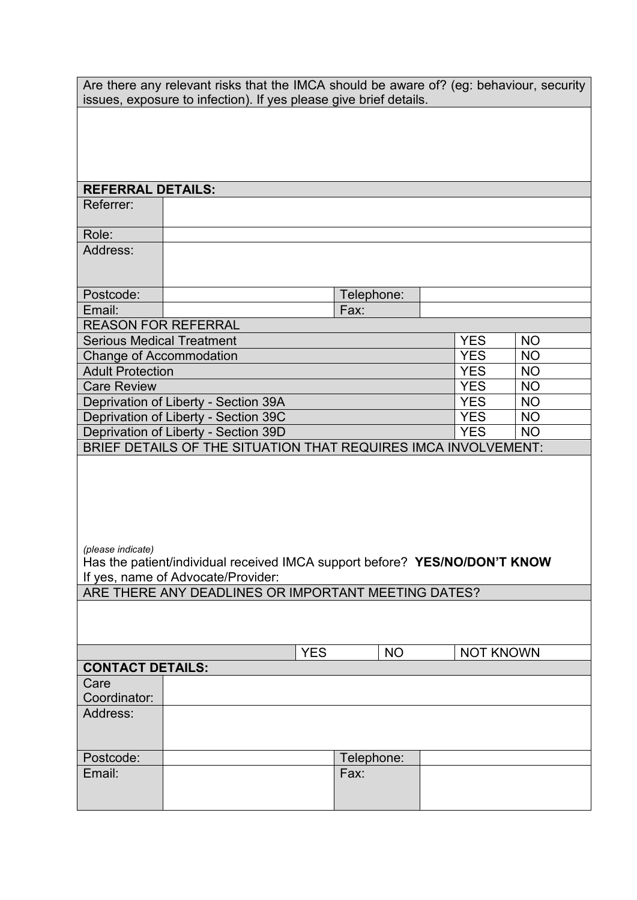| Are there any relevant risks that the IMCA should be aware of? (eg: behaviour, security<br>issues, exposure to infection). If yes please give brief details. |                                                     |            |            |                  |                        |
|--------------------------------------------------------------------------------------------------------------------------------------------------------------|-----------------------------------------------------|------------|------------|------------------|------------------------|
|                                                                                                                                                              |                                                     |            |            |                  |                        |
|                                                                                                                                                              |                                                     |            |            |                  |                        |
|                                                                                                                                                              |                                                     |            |            |                  |                        |
| <b>REFERRAL DETAILS:</b>                                                                                                                                     |                                                     |            |            |                  |                        |
| Referrer:                                                                                                                                                    |                                                     |            |            |                  |                        |
| Role:                                                                                                                                                        |                                                     |            |            |                  |                        |
| Address:                                                                                                                                                     |                                                     |            |            |                  |                        |
| Postcode:                                                                                                                                                    |                                                     |            | Telephone: |                  |                        |
| Email:                                                                                                                                                       |                                                     |            | Fax:       |                  |                        |
| <b>REASON FOR REFERRAL</b>                                                                                                                                   |                                                     |            |            |                  |                        |
| <b>Serious Medical Treatment</b>                                                                                                                             |                                                     |            |            | <b>YES</b>       | <b>NO</b>              |
| <b>Change of Accommodation</b><br><b>Adult Protection</b>                                                                                                    |                                                     |            |            | <b>YES</b>       | <b>NO</b><br><b>NO</b> |
| <b>Care Review</b>                                                                                                                                           | <b>YES</b><br><b>YES</b>                            | <b>NO</b>  |            |                  |                        |
|                                                                                                                                                              | Deprivation of Liberty - Section 39A                | <b>YES</b> | <b>NO</b>  |                  |                        |
|                                                                                                                                                              | Deprivation of Liberty - Section 39C                |            |            | <b>YES</b>       | <b>NO</b>              |
|                                                                                                                                                              |                                                     |            |            | <b>YES</b>       | <b>NO</b>              |
| Deprivation of Liberty - Section 39D<br>BRIEF DETAILS OF THE SITUATION THAT REQUIRES IMCA INVOLVEMENT:                                                       |                                                     |            |            |                  |                        |
| (please indicate)<br>Has the patient/individual received IMCA support before? YES/NO/DON'T KNOW<br>If yes, name of Advocate/Provider:                        |                                                     |            |            |                  |                        |
|                                                                                                                                                              | ARE THERE ANY DEADLINES OR IMPORTANT MEETING DATES? |            |            |                  |                        |
|                                                                                                                                                              |                                                     |            |            |                  |                        |
|                                                                                                                                                              |                                                     | <b>YES</b> | <b>NO</b>  | <b>NOT KNOWN</b> |                        |
| <b>CONTACT DETAILS:</b>                                                                                                                                      |                                                     |            |            |                  |                        |
| Care<br>Coordinator:                                                                                                                                         |                                                     |            |            |                  |                        |
| Address:                                                                                                                                                     |                                                     |            |            |                  |                        |
|                                                                                                                                                              |                                                     |            |            |                  |                        |
| Postcode:                                                                                                                                                    |                                                     |            | Telephone: |                  |                        |
| Email:                                                                                                                                                       |                                                     |            | Fax:       |                  |                        |